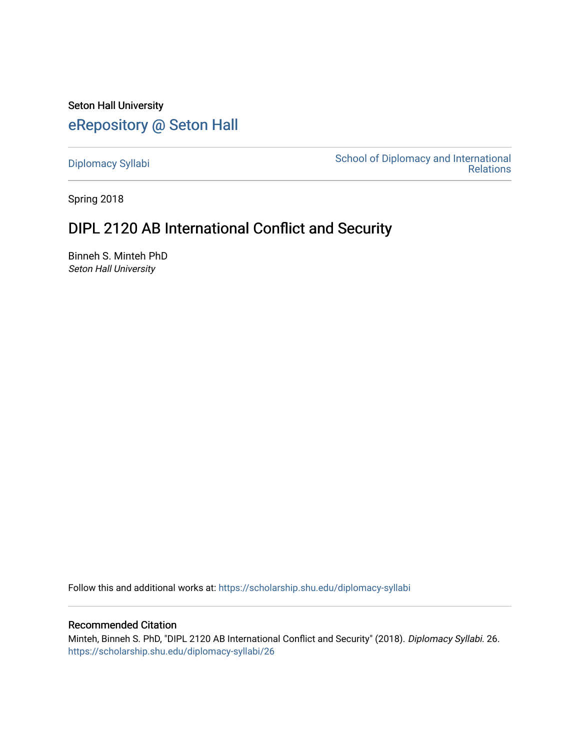Seton Hall University [eRepository @ Seton Hall](https://scholarship.shu.edu/)

[Diplomacy Syllabi](https://scholarship.shu.edu/diplomacy-syllabi) [School of Diplomacy and International](https://scholarship.shu.edu/diplomacy)  [Relations](https://scholarship.shu.edu/diplomacy) 

Spring 2018

# DIPL 2120 AB International Conflict and Security

Binneh S. Minteh PhD Seton Hall University

Follow this and additional works at: [https://scholarship.shu.edu/diplomacy-syllabi](https://scholarship.shu.edu/diplomacy-syllabi?utm_source=scholarship.shu.edu%2Fdiplomacy-syllabi%2F26&utm_medium=PDF&utm_campaign=PDFCoverPages) 

#### Recommended Citation

Minteh, Binneh S. PhD, "DIPL 2120 AB International Conflict and Security" (2018). Diplomacy Syllabi. 26. [https://scholarship.shu.edu/diplomacy-syllabi/26](https://scholarship.shu.edu/diplomacy-syllabi/26?utm_source=scholarship.shu.edu%2Fdiplomacy-syllabi%2F26&utm_medium=PDF&utm_campaign=PDFCoverPages)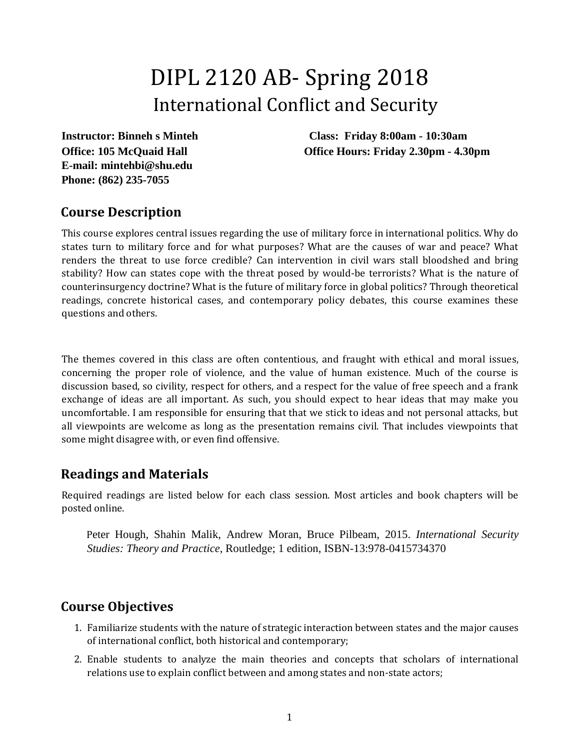# DIPL 2120 AB- Spring 2018 International Conflict and Security

**E-mail: mintehbi@shu.edu Phone: (862) 235-7055**

**Instructor: Binneh s Minteh Class: Friday 8:00am - 10:30am Office: 105 McQuaid Hall Office Hours: Friday 2.30pm - 4.30pm** 

## **Course Description**

This course explores central issues regarding the use of military force in international politics. Why do states turn to military force and for what purposes? What are the causes of war and peace? What renders the threat to use force credible? Can intervention in civil wars stall bloodshed and bring stability? How can states cope with the threat posed by would-be terrorists? What is the nature of counterinsurgency doctrine? What is the future of military force in global politics? Through theoretical readings, concrete historical cases, and contemporary policy debates, this course examines these questions and others.

The themes covered in this class are often contentious, and fraught with ethical and moral issues, concerning the proper role of violence, and the value of human existence. Much of the course is discussion based, so civility, respect for others, and a respect for the value of free speech and a frank exchange of ideas are all important. As such, you should expect to hear ideas that may make you uncomfortable. I am responsible for ensuring that that we stick to ideas and not personal attacks, but all viewpoints are welcome as long as the presentation remains civil. That includes viewpoints that some might disagree with, or even find offensive.

## **Readings and Materials**

Required readings are listed below for each class session. Most articles and book chapters will be posted online.

Peter Hough, Shahin Malik, Andrew Moran, Bruce Pilbeam, 2015. *International Security Studies: Theory and Practice*, Routledge; 1 edition, ISBN-13:978-0415734370

## **Course Objectives**

- 1. Familiarize students with the nature of strategic interaction between states and the major causes of international conflict, both historical and contemporary;
- 2. Enable students to analyze the main theories and concepts that scholars of international relations use to explain conflict between and among states and non-state actors;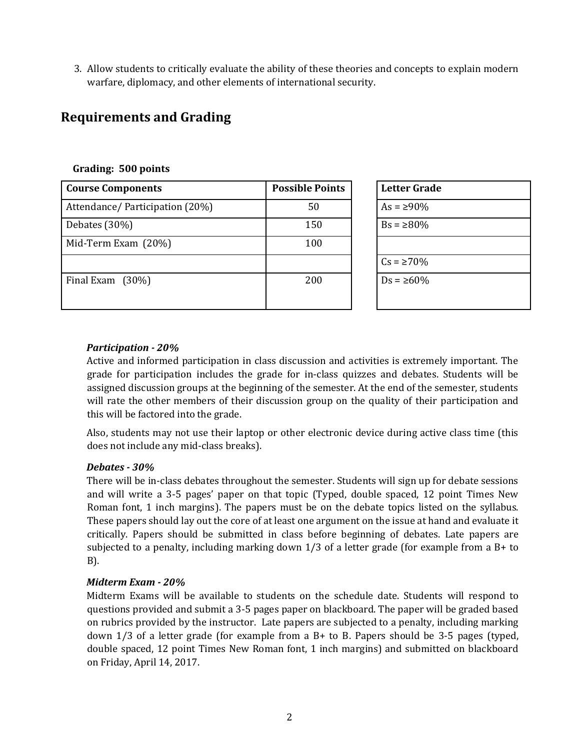3. Allow students to critically evaluate the ability of these theories and concepts to explain modern warfare, diplomacy, and other elements of international security.

## **Requirements and Grading**

| <b>Course Components</b>        | <b>Possible Points</b> | <b>Letter Grade</b> |
|---------------------------------|------------------------|---------------------|
| Attendance/ Participation (20%) | 50                     | $As = \ge 90\%$     |
| Debates (30%)                   | 150                    | $Bs = \ge 80\%$     |
| Mid-Term Exam (20%)             | 100                    |                     |
|                                 |                        | $Cs = \ge 70\%$     |
| Final Exam $(30\%)$             | 200                    | $Ds = \ge 60\%$     |

| Letter Grade    |  |
|-----------------|--|
| $As = 290\%$    |  |
| $Bs = \ge 80\%$ |  |
|                 |  |
| $Cs = \ge 70\%$ |  |
| $Ds = \ge 60\%$ |  |
|                 |  |

#### **Grading: 500 points**

#### *Participation - 20%*

Active and informed participation in class discussion and activities is extremely important. The grade for participation includes the grade for in-class quizzes and debates. Students will be assigned discussion groups at the beginning of the semester. At the end of the semester, students will rate the other members of their discussion group on the quality of their participation and this will be factored into the grade.

Also, students may not use their laptop or other electronic device during active class time (this does not include any mid-class breaks).

#### *Debates - 30%*

There will be in-class debates throughout the semester. Students will sign up for debate sessions and will write a 3-5 pages' paper on that topic (Typed, double spaced, 12 point Times New Roman font, 1 inch margins). The papers must be on the debate topics listed on the syllabus. These papers should lay out the core of at least one argument on the issue at hand and evaluate it critically. Papers should be submitted in class before beginning of debates. Late papers are subjected to a penalty, including marking down 1/3 of a letter grade (for example from a B+ to B).

#### *Midterm Exam - 20%*

Midterm Exams will be available to students on the schedule date. Students will respond to questions provided and submit a 3-5 pages paper on blackboard. The paper will be graded based on rubrics provided by the instructor. Late papers are subjected to a penalty, including marking down  $1/3$  of a letter grade (for example from a B+ to B. Papers should be 3-5 pages (typed, double spaced, 12 point Times New Roman font, 1 inch margins) and submitted on blackboard on Friday, April 14, 2017.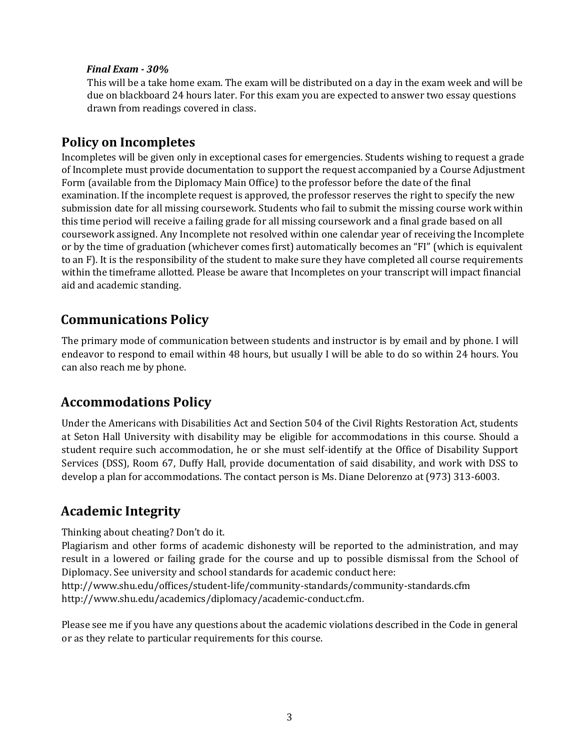#### *Final Exam - 30%*

This will be a take home exam. The exam will be distributed on a day in the exam week and will be due on blackboard 24 hours later. For this exam you are expected to answer two essay questions drawn from readings covered in class.

### **Policy on Incompletes**

Incompletes will be given only in exceptional cases for emergencies. Students wishing to request a grade of Incomplete must provide documentation to support the request accompanied by a Course Adjustment Form (available from the Diplomacy Main Office) to the professor before the date of the final examination. If the incomplete request is approved, the professor reserves the right to specify the new submission date for all missing coursework. Students who fail to submit the missing course work within this time period will receive a failing grade for all missing coursework and a final grade based on all coursework assigned. Any Incomplete not resolved within one calendar year of receiving the Incomplete or by the time of graduation (whichever comes first) automatically becomes an "FI" (which is equivalent to an F). It is the responsibility of the student to make sure they have completed all course requirements within the timeframe allotted. Please be aware that Incompletes on your transcript will impact financial aid and academic standing.

## **Communications Policy**

The primary mode of communication between students and instructor is by email and by phone. I will endeavor to respond to email within 48 hours, but usually I will be able to do so within 24 hours. You can also reach me by phone.

## **Accommodations Policy**

Under the Americans with Disabilities Act and Section 504 of the Civil Rights Restoration Act, students at Seton Hall University with disability may be eligible for accommodations in this course. Should a student require such accommodation, he or she must self-identify at the Office of Disability Support Services (DSS), Room 67, Duffy Hall, provide documentation of said disability, and work with DSS to develop a plan for accommodations. The contact person is Ms. Diane Delorenzo at (973) 313-6003.

## **Academic Integrity**

Thinking about cheating? Don't do it.

Plagiarism and other forms of academic dishonesty will be reported to the administration, and may result in a lowered or failing grade for the course and up to possible dismissal from the School of Diplomacy. See university and school standards for academic conduct here:

http://www.shu.edu/offices/student-life/community-standards/community-standards.cfm http://www.shu.edu/academics/diplomacy/academic-conduct.cfm.

Please see me if you have any questions about the academic violations described in the Code in general or as they relate to particular requirements for this course.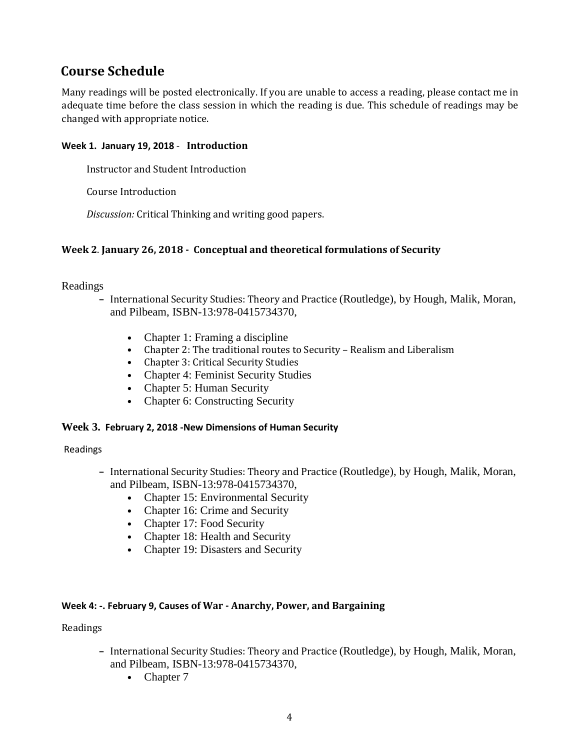## **Course Schedule**

Many readings will be posted electronically. If you are unable to access a reading, please contact me in adequate time before the class session in which the reading is due. This schedule of readings may be changed with appropriate notice.

#### **Week 1. January 19, 2018** - **Introduction**

Instructor and Student Introduction

Course Introduction

*Discussion:* Critical Thinking and writing good papers.

#### **Week 2**. **January 26, 2018 - Conceptual and theoretical formulations of Security**

Readings

- **–** International Security Studies: Theory and Practice (Routledge), by Hough, Malik, Moran, and Pilbeam, ISBN-13:978-0415734370,
	- Chapter 1: Framing a discipline
	- **•** Chapter 2: The traditional routes to Security Realism and Liberalism
	- **•** Chapter 3: Critical Security Studies
	- **•** Chapter 4: Feminist Security Studies
	- **•** Chapter 5: Human Security
	- Chapter 6: Constructing Security

#### **Week 3. February 2, 2018 -New Dimensions of Human Security**

Readings

- **–** International Security Studies: Theory and Practice (Routledge), by Hough, Malik, Moran, and Pilbeam, ISBN-13:978-0415734370,
	- Chapter 15: Environmental Security
	- Chapter 16: Crime and Security
	- **•** Chapter 17: Food Security
	- **•** Chapter 18: Health and Security
	- **•** Chapter 19: Disasters and Security

#### **Week 4: -. February 9, Causes of War - Anarchy, Power, and Bargaining**

- **–** International Security Studies: Theory and Practice (Routledge), by Hough, Malik, Moran, and Pilbeam, ISBN-13:978-0415734370,
	- **•** Chapter 7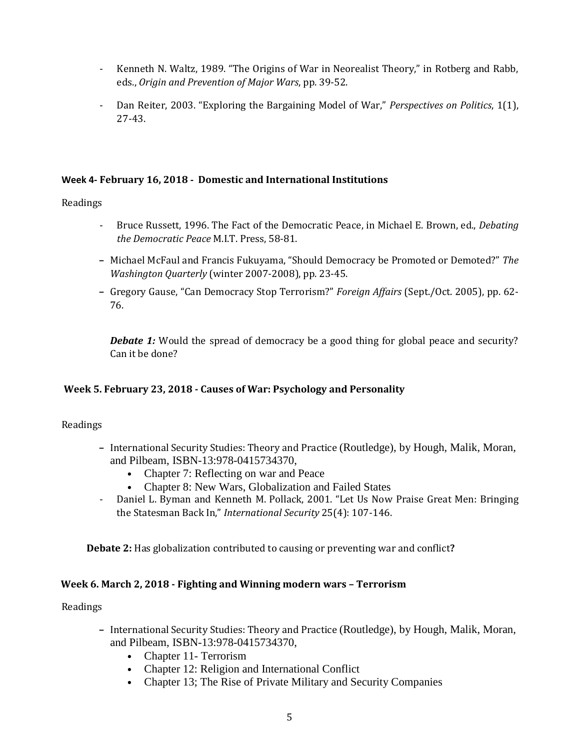- Kenneth N. Waltz, 1989. "The Origins of War in Neorealist Theory," in Rotberg and Rabb, eds., *Origin and Prevention of Major Wars*, pp. 39-52.
- Dan Reiter, 2003. "Exploring the Bargaining Model of War," *Perspectives on Politics*, 1(1), 27-43.

#### **Week 4- February 16, 2018 - Domestic and International Institutions**

#### Readings

- Bruce Russett, 1996. The Fact of the Democratic Peace, in Michael E. Brown, ed., *Debating the Democratic Peace* M.I.T. Press, 58-81.
- **–** Michael McFaul and Francis Fukuyama, "Should Democracy be Promoted or Demoted?" *The Washington Quarterly* (winter 2007-2008), pp. 23-45.
- **–** Gregory Gause, "Can Democracy Stop Terrorism?" *Foreign Affairs* (Sept./Oct. 2005), pp. 62- 76.

**Debate 1:** Would the spread of democracy be a good thing for global peace and security? Can it be done?

#### **Week 5. February 23, 2018 - Causes of War: Psychology and Personality**

#### Readings

- **–** International Security Studies: Theory and Practice (Routledge), by Hough, Malik, Moran, and Pilbeam, ISBN-13:978-0415734370,
	- **•** Chapter 7: Reflecting on war and Peace
	- **•** Chapter 8: New Wars, Globalization and Failed States
- Daniel L. Byman and Kenneth M. Pollack, 2001. "Let Us Now Praise Great Men: Bringing the Statesman Back In," *International Security* 25(4): 107-146.

**Debate 2:** Has globalization contributed to causing or preventing war and conflict**?**

#### **Week 6. March 2, 2018 - Fighting and Winning modern wars – Terrorism**

- **–** International Security Studies: Theory and Practice (Routledge), by Hough, Malik, Moran, and Pilbeam, ISBN-13:978-0415734370,
	- **•** Chapter 11- Terrorism
	- Chapter 12: Religion and International Conflict
	- **•** Chapter 13; The Rise of Private Military and Security Companies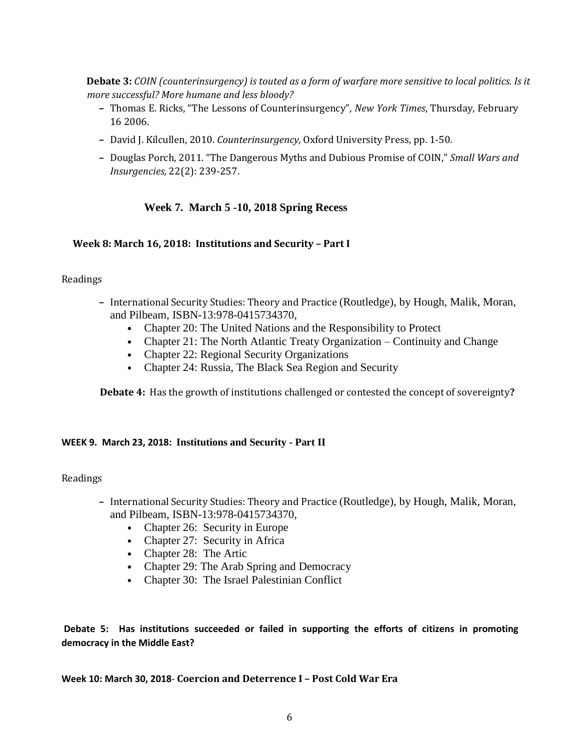**Debate 3:** *COIN (counterinsurgency) is touted as a form of warfare more sensitive to local politics. Is it more successful? More humane and less bloody?*

- **–** Thomas E. Ricks, "The Lessons of Counterinsurgency", *New York Times*, Thursday, February 16 2006.
- **–** David J. Kilcullen, 2010. *Counterinsurgency,* Oxford University Press, pp. 1-50.
- **–** Douglas Porch, 2011. "The Dangerous Myths and Dubious Promise of COIN," *Small Wars and Insurgencies,* 22(2): 239-257.

#### **Week 7. March 5 -10, 2018 Spring Recess**

#### **Week 8: March 16, 2018: Institutions and Security – Part I**

#### Readings

- **–** International Security Studies: Theory and Practice (Routledge), by Hough, Malik, Moran, and Pilbeam, ISBN-13:978-0415734370,
	- **•** Chapter 20: The United Nations and the Responsibility to Protect
	- Chapter 21: The North Atlantic Treaty Organization Continuity and Change
	- **•** Chapter 22: Regional Security Organizations
	- **•** Chapter 24: Russia, The Black Sea Region and Security

**Debate 4:** Has the growth of institutions challenged or contested the concept of sovereignty**?**

#### **WEEK 9. March 23, 2018: Institutions and Security - Part II**

#### Readings

- **–** International Security Studies: Theory and Practice (Routledge), by Hough, Malik, Moran, and Pilbeam, ISBN-13:978-0415734370,
	- **•** Chapter 26: Security in Europe
	- Chapter 27: Security in Africa
	- **•** Chapter 28: The Artic
	- **•** Chapter 29: The Arab Spring and Democracy
	- **•** Chapter 30: The Israel Palestinian Conflict

**Debate 5: Has institutions succeeded or failed in supporting the efforts of citizens in promoting democracy in the Middle East?** 

**Week 10: March 30, 2018**- **Coercion and Deterrence I – Post Cold War Era**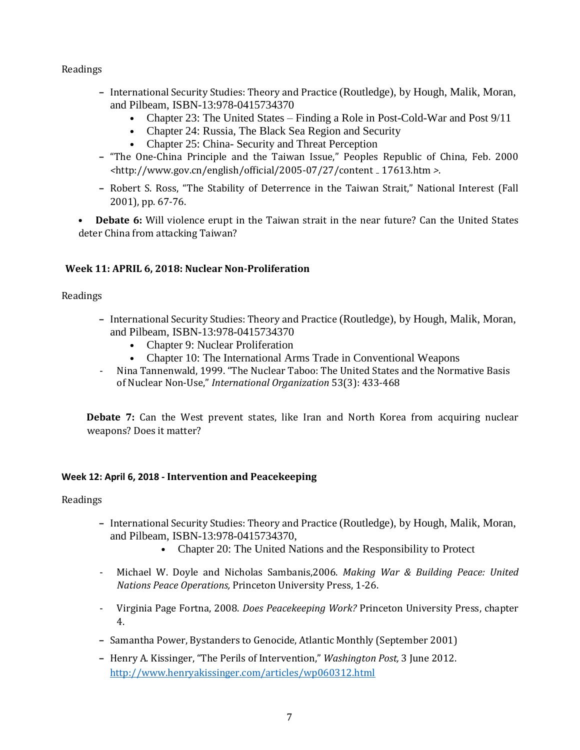#### Readings

- **–** International Security Studies: Theory and Practice (Routledge), by Hough, Malik, Moran, and Pilbeam, ISBN-13:978-0415734370
	- **•** Chapter 23: The United States Finding a Role in Post-Cold-War and Post 9/11
	- **•** Chapter 24: Russia, The Black Sea Region and Security
	- **•** Chapter 25: China- Security and Threat Perception
- **–** "The One-China Principle and the Taiwan Issue," Peoples Republic of China, Feb. 2000 *<*http://www.gov.cn/english/official/2005-07/27/content 17613.htm *>*.
- **–** Robert S. Ross, "The Stability of Deterrence in the Taiwan Strait," National Interest (Fall 2001), pp. 67-76.

**• Debate 6:** Will violence erupt in the Taiwan strait in the near future? Can the United States deter China from attacking Taiwan?

#### **Week 11: APRIL 6, 2018: Nuclear Non-Proliferation**

#### Readings

- **–** International Security Studies: Theory and Practice (Routledge), by Hough, Malik, Moran, and Pilbeam, ISBN-13:978-0415734370
	- **•** Chapter 9: Nuclear Proliferation
	- **•** Chapter 10: The International Arms Trade in Conventional Weapons
- Nina Tannenwald, 1999. "The Nuclear Taboo: The United States and the Normative Basis of Nuclear Non-Use," *International Organization* 53(3): 433-468

**Debate 7:** Can the West prevent states, like Iran and North Korea from acquiring nuclear weapons? Does it matter?

#### **Week 12: April 6, 2018 - Intervention and Peacekeeping**

- **–** International Security Studies: Theory and Practice (Routledge), by Hough, Malik, Moran, and Pilbeam, ISBN-13:978-0415734370,
	- **•** Chapter 20: The United Nations and the Responsibility to Protect
- Michael W. Doyle and Nicholas Sambanis,2006. *Making War & Building Peace: United Nations Peace Operations,* Princeton University Press, 1-26.
- Virginia Page Fortna, 2008. *Does Peacekeeping Work?* Princeton University Press, chapter 4.
- **–** Samantha Power, Bystanders to Genocide, Atlantic Monthly (September 2001)
- **–** Henry A. Kissinger, "The Perils of Intervention," *Washington Post,* 3 June 2012. <http://www.henryakissinger.com/articles/wp060312.html>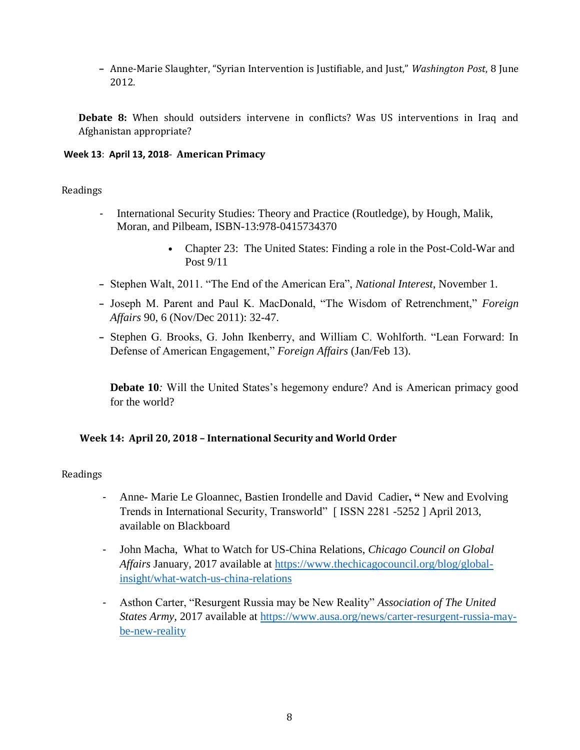**–** Anne-Marie Slaughter, "Syrian Intervention is Justifiable, and Just," *Washington Post*, 8 June 2012.

**Debate 8:** When should outsiders intervene in conflicts? Was US interventions in Iraq and Afghanistan appropriate?

#### **Week 13**: **April 13, 2018**- **American Primacy**

#### Readings

- International Security Studies: Theory and Practice (Routledge), by Hough, Malik, Moran, and Pilbeam, ISBN-13:978-0415734370
	- **•** Chapter 23: The United States: Finding a role in the Post-Cold-War and Post 9/11
- **–** Stephen Walt, 2011. "The End of the American Era", *National Interest*, November 1.
- **–** Joseph M. Parent and Paul K. MacDonald, "The Wisdom of Retrenchment," *Foreign Affairs* 90, 6 (Nov/Dec 2011): 32-47.
- **–** Stephen G. Brooks, G. John Ikenberry, and William C. Wohlforth. "Lean Forward: In Defense of American Engagement," *Foreign Affairs* (Jan/Feb 13).

**Debate 10***:* Will the United States's hegemony endure? And is American primacy good for the world?

#### **Week 14: April 20, 2018 – International Security and World Order**

- Anne- Marie Le Gloannec, Bastien Irondelle and David Cadier**, "** New and Evolving Trends in International Security, Transworld" [ ISSN 2281 -5252 ] April 2013, available on Blackboard
- John Macha, What to Watch for US-China Relations, *Chicago Council on Global Affairs* January, 2017 available at [https://www.thechicagocouncil.org/blog/global](https://www.thechicagocouncil.org/blog/global-insight/what-watch-us-china-relations)[insight/what-watch-us-china-relations](https://www.thechicagocouncil.org/blog/global-insight/what-watch-us-china-relations)
- Asthon Carter, "Resurgent Russia may be New Reality" *Association of The United States Army,* 2017 available at [https://www.ausa.org/news/carter-resurgent-russia-may](https://www.ausa.org/news/carter-resurgent-russia-may-be-new-reality)[be-new-reality](https://www.ausa.org/news/carter-resurgent-russia-may-be-new-reality)